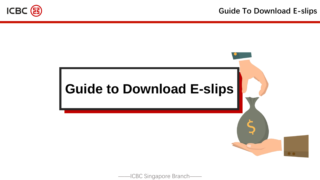

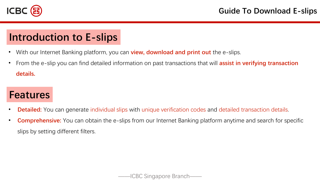

# **Introduction to E-slips**

- With our Internet Banking platform, you can **view, download and print out** the e-slips.
- From the e-slip you can find detailed information on past transactions that will **assist in verifying transaction details.**

# **Features**

- **Detailed:** You can generate individual slips with unique verification codes and detailed transaction details.
- **Comprehensive:** You can obtain the e-slips from our Internet Banking platform anytime and search for specific slips by setting different filters.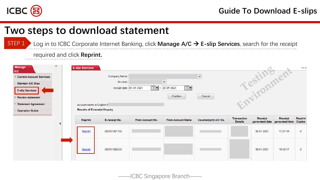

# **Two steps to download statement**

Log in to ICBC Corporate Internet Banking, click **Manage A/C** → **E-slip Services**, search for the receipt STEP 1

required and click **Reprint.**

| <b>Manage</b><br><b>A/C</b><br>E Current Account Services<br>- Maintain A/C Alias<br><b>E-slip Services</b><br><b>E</b> Review statement | $\wedge$ | <b>E-slip Services</b>                                           | Company Name:<br>Account:<br>receipt date: 01-01-2021 | $\overline{\bullet}\bullet$ . | $\checkmark$<br>$\overline{\mathbb{R}}$ $\overline{\mathbb{R}}$<br>20-09-2021<br>Confirm | $\checkmark$<br>Cancel      |                                      | Testingent |                                          | >> H                            |
|------------------------------------------------------------------------------------------------------------------------------------------|----------|------------------------------------------------------------------|-------------------------------------------------------|-------------------------------|------------------------------------------------------------------------------------------|-----------------------------|--------------------------------------|------------|------------------------------------------|---------------------------------|
| <b>Statement Agreement</b><br>- Operation Guide                                                                                          |          | account name in English:X<br><b>Results of E-receipt Enquiry</b> |                                                       |                               |                                                                                          |                             |                                      |            |                                          |                                 |
|                                                                                                                                          |          | <b>Reprint</b>                                                   | E-receipt No.                                         | From Account No.              | <b>From Account Name</b>                                                                 | <b>Counterparty A/C No.</b> | <b>Transaction</b><br><b>Details</b> | Receipt    | Receipt<br>generated date generated time | <b>Reprint</b><br><b>Copies</b> |
|                                                                                                                                          |          | Reprint                                                          | 202101061703                                          |                               |                                                                                          |                             |                                      | 06-01-2021 | 17:27:44                                 | $\bf{0}$                        |
|                                                                                                                                          |          | Reprint                                                          | 202101082533                                          |                               |                                                                                          |                             |                                      | 08-01-2021 | 10:32:17                                 | $\mathbf{0}$                    |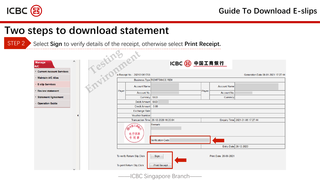

# **Two steps to download statement**

STEP 2 Select **Sign** to verify details of the receipt, otherwise select **Print Receipt.**

**Contract** 

 $\triangle$ 

| <b>Manage</b><br>A/C              |                   |           |                                                                          |                                                             | ICBC 3 中国工商银行                |       |                        |                                     |  |  |
|-----------------------------------|-------------------|-----------|--------------------------------------------------------------------------|-------------------------------------------------------------|------------------------------|-------|------------------------|-------------------------------------|--|--|
| <b>E</b> Current Account Services |                   |           |                                                                          |                                                             |                              |       |                        |                                     |  |  |
| <b>Maintain A/C Alias</b>         |                   |           |                                                                          | e-Receipt No.: 202101061703                                 |                              |       |                        | Generation Date 06-01-2021 17:27:44 |  |  |
| <b>E-slip Services</b>            |                   | Testingen |                                                                          | <b>Account Name</b>                                         | Business Type REMITTANCE REM |       | <b>Account Name</b>    |                                     |  |  |
| <b>Review statement</b>           |                   |           | Payer                                                                    | Account No.                                                 |                              | Payee | Account No.            |                                     |  |  |
| <b>Statement Agreement</b>        |                   |           |                                                                          | Currency                                                    | SGD                          |       | Currency               |                                     |  |  |
| <b>Operation Guide</b>            |                   |           |                                                                          | Debit Amount                                                | <b>SGD</b>                   |       |                        |                                     |  |  |
|                                   |                   |           | Credit Amount<br>0.00                                                    |                                                             |                              |       |                        |                                     |  |  |
|                                   |                   |           | <b>Exchange Rate</b>                                                     |                                                             |                              |       |                        |                                     |  |  |
|                                   |                   |           | <b>Voucher Number</b>                                                    |                                                             |                              |       |                        |                                     |  |  |
|                                   |                   |           | Enquiry Time 2021-01-06 17:27:44<br>Transaction Time 28-12-2020 16:20:04 |                                                             |                              |       |                        |                                     |  |  |
|                                   |                   |           | Remark:<br>国工局<br>电子回单<br>专用章                                            |                                                             |                              |       |                        |                                     |  |  |
|                                   | Verification Code |           |                                                                          |                                                             |                              |       |                        |                                     |  |  |
|                                   |                   |           | Entry Date 28-12-2020                                                    |                                                             |                              |       |                        |                                     |  |  |
|                                   |                   |           |                                                                          | To verify Return Slip, Click<br>To print Return Slip, Click | Sign<br><b>Print Receipt</b> |       | Print Date: 20-09-2021 |                                     |  |  |

——ICBC Singapore Branch——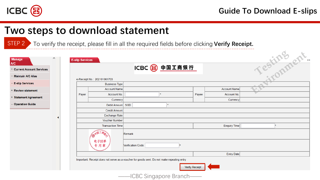

z.

# **Two steps to download statement**

STEP 2 To verify the receipt, please fill in all the required fields before clicking **Verify Receipt.**

| <b>Manage</b>                            |  | <b>E-slip Services</b> |                                                                                            |                         |               |                |                     | Testing ent. |
|------------------------------------------|--|------------------------|--------------------------------------------------------------------------------------------|-------------------------|---------------|----------------|---------------------|--------------|
| <b>A/C</b><br>+ Current Account Services |  |                        |                                                                                            |                         | ICBC 3 中国工商银行 |                |                     |              |
| - Maintain A/C Alias                     |  |                        | e-Receipt No.: 202101061703                                                                |                         |               |                |                     |              |
| <b>E-slip Services</b>                   |  |                        | <b>Business Type</b>                                                                       |                         |               |                |                     |              |
| + Review statement                       |  |                        | <b>Account Name</b>                                                                        |                         |               |                | <b>Account Name</b> |              |
| + Statement Agreement                    |  | Payer                  | Account No.                                                                                |                         | $\star$       | Payee          | Account No.         |              |
|                                          |  |                        | Currency                                                                                   |                         |               |                | Currency            |              |
| - Operation Guide                        |  |                        | Debit Amount SGD                                                                           |                         |               |                |                     |              |
|                                          |  |                        | <b>Credit Amount</b>                                                                       |                         |               |                |                     |              |
|                                          |  |                        | Exchange Rate                                                                              |                         |               |                |                     |              |
|                                          |  |                        | <b>Voucher Number</b>                                                                      |                         |               |                |                     |              |
|                                          |  |                        | <b>Transaction Time</b>                                                                    |                         |               |                | Enquiry Time        |              |
|                                          |  |                        |                                                                                            | Remark                  |               |                |                     |              |
|                                          |  |                        | 电子回单<br>专用章                                                                                | Verification Code       |               |                |                     |              |
|                                          |  |                        |                                                                                            |                         |               |                | Entry Date          |              |
|                                          |  |                        | Important: Receipt does not serve as a voucher for goods sent. Do not make repeating entry |                         |               |                |                     |              |
|                                          |  |                        |                                                                                            |                         |               | Verify Receipt |                     |              |
|                                          |  |                        |                                                                                            | -ICBC Singapore Branch- |               |                |                     |              |